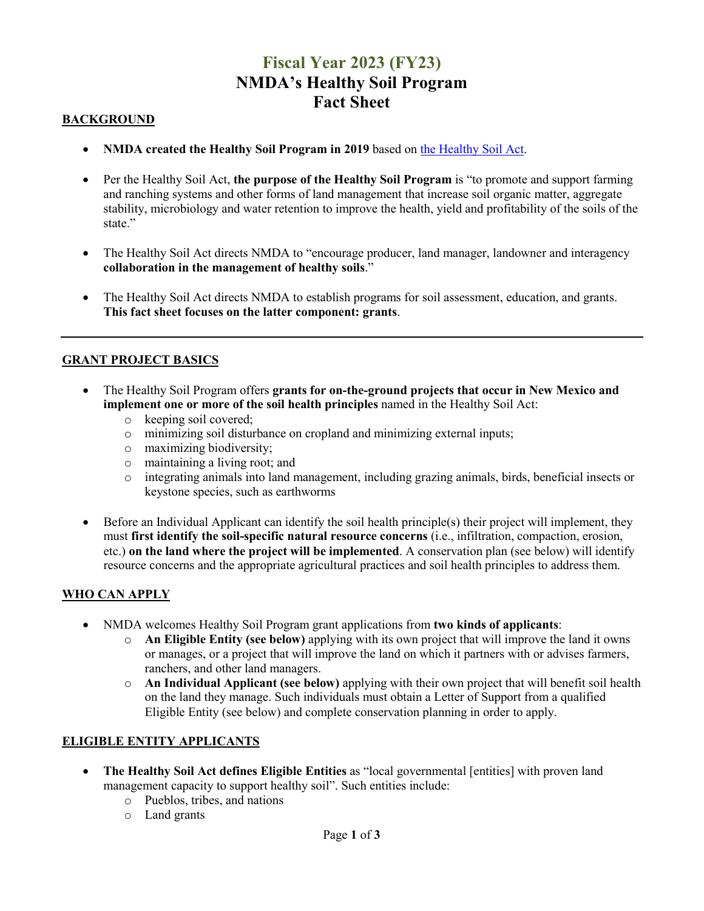## **Fiscal Year 2023 (FY23) NMDA's Healthy Soil Program Fact Sheet**

### **BACKGROUND**

- **NMDA created the Healthy Soil Program in 2019** based on [the Healthy Soil Act.](https://nmonesource.com/nmos/nmsa/en/item/4424/index.do#!b/a25)
- Per the Healthy Soil Act, the purpose of the Healthy Soil Program is "to promote and support farming and ranching systems and other forms of land management that increase soil organic matter, aggregate stability, microbiology and water retention to improve the health, yield and profitability of the soils of the state."
- The Healthy Soil Act directs NMDA to "encourage producer, land manager, landowner and interagency **collaboration in the management of healthy soils**."
- The Healthy Soil Act directs NMDA to establish programs for soil assessment, education, and grants. **This fact sheet focuses on the latter component: grants**.

## **GRANT PROJECT BASICS**

- The Healthy Soil Program offers **grants for on-the-ground projects that occur in New Mexico and implement one or more of the soil health principles** named in the Healthy Soil Act:
	- o keeping soil covered;
	- o minimizing soil disturbance on cropland and minimizing external inputs;
	- o maximizing biodiversity;
	- o maintaining a living root; and
	- o integrating animals into land management, including grazing animals, birds, beneficial insects or keystone species, such as earthworms
- Before an Individual Applicant can identify the soil health principle(s) their project will implement, they must **first identify the soil-specific natural resource concerns** (i.e., infiltration, compaction, erosion, etc.) **on the land where the project will be implemented**. A conservation plan (see below) will identify resource concerns and the appropriate agricultural practices and soil health principles to address them.

## **WHO CAN APPLY**

- NMDA welcomes Healthy Soil Program grant applications from **two kinds of applicants**:
	- o **An Eligible Entity (see below)** applying with its own project that will improve the land it owns or manages, or a project that will improve the land on which it partners with or advises farmers, ranchers, and other land managers.
	- o **An Individual Applicant (see below)** applying with their own project that will benefit soil health on the land they manage. Such individuals must obtain a Letter of Support from a qualified Eligible Entity (see below) and complete conservation planning in order to apply.

#### **ELIGIBLE ENTITY APPLICANTS**

- **The Healthy Soil Act defines Eligible Entities** as "local governmental [entities] with proven land management capacity to support healthy soil". Such entities include:
	- o Pueblos, tribes, and nations
	- o Land grants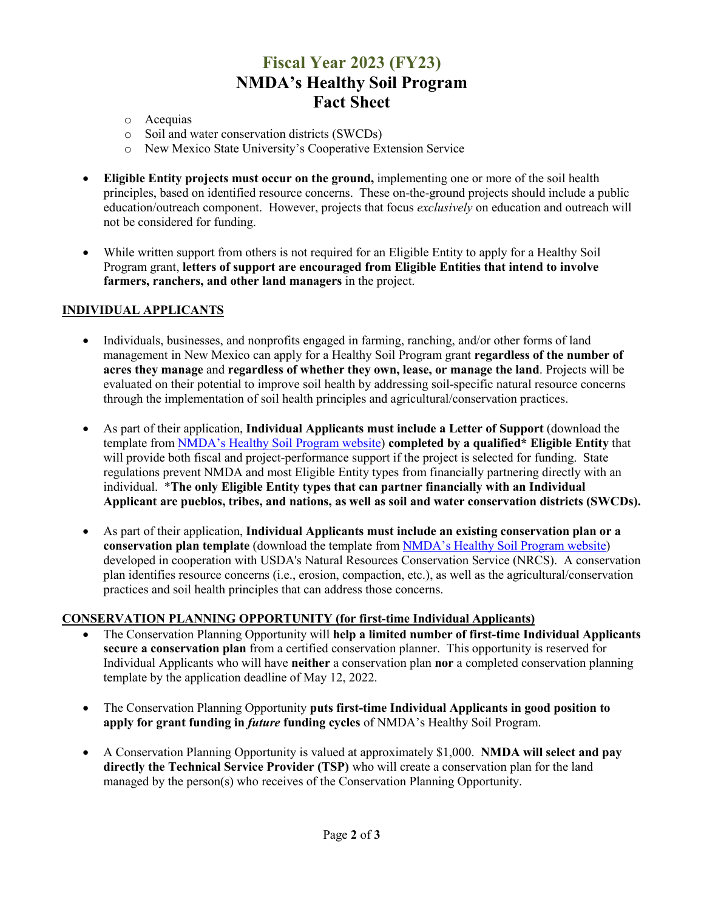## **Fiscal Year 2023 (FY23) NMDA's Healthy Soil Program Fact Sheet**

- o Acequias
- o Soil and water conservation districts (SWCDs)
- o New Mexico State University's Cooperative Extension Service
- **Eligible Entity projects must occur on the ground,** implementing one or more of the soil health principles, based on identified resource concerns. These on-the-ground projects should include a public education/outreach component. However, projects that focus *exclusively* on education and outreach will not be considered for funding.
- While written support from others is not required for an Eligible Entity to apply for a Healthy Soil Program grant, **letters of support are encouraged from Eligible Entities that intend to involve farmers, ranchers, and other land managers** in the project.

#### **INDIVIDUAL APPLICANTS**

- Individuals, businesses, and nonprofits engaged in farming, ranching, and/or other forms of land management in New Mexico can apply for a Healthy Soil Program grant **regardless of the number of acres they manage** and **regardless of whether they own, lease, or manage the land**. Projects will be evaluated on their potential to improve soil health by addressing soil-specific natural resource concerns through the implementation of soil health principles and agricultural/conservation practices.
- As part of their application, **Individual Applicants must include a Letter of Support** (download the template from [NMDA's Healthy Soil Program website\)](http://www.nmda.nmsu.edu/healthy-soil-program) **completed by a qualified\* Eligible Entity** that will provide both fiscal and project-performance support if the project is selected for funding. State regulations prevent NMDA and most Eligible Entity types from financially partnering directly with an individual. \***The only Eligible Entity types that can partner financially with an Individual Applicant are pueblos, tribes, and nations, as well as soil and water conservation districts (SWCDs).**
- As part of their application, **Individual Applicants must include an existing conservation plan or a conservation plan template** (download the template from [NMDA's Healthy Soil Program website\)](http://www.nmda.nmsu.edu/healthy-soil-program) developed in cooperation with USDA's Natural Resources Conservation Service (NRCS). A conservation plan identifies resource concerns (i.e., erosion, compaction, etc.), as well as the agricultural/conservation practices and soil health principles that can address those concerns.

#### **CONSERVATION PLANNING OPPORTUNITY (for first-time Individual Applicants)**

- The Conservation Planning Opportunity will **help a limited number of first-time Individual Applicants secure a conservation plan** from a certified conservation planner. This opportunity is reserved for Individual Applicants who will have **neither** a conservation plan **nor** a completed conservation planning template by the application deadline of May 12, 2022.
- The Conservation Planning Opportunity **puts first-time Individual Applicants in good position to apply for grant funding in** *future* **funding cycles** of NMDA's Healthy Soil Program.
- A Conservation Planning Opportunity is valued at approximately \$1,000. **NMDA will select and pay directly the Technical Service Provider (TSP)** who will create a conservation plan for the land managed by the person(s) who receives of the Conservation Planning Opportunity.